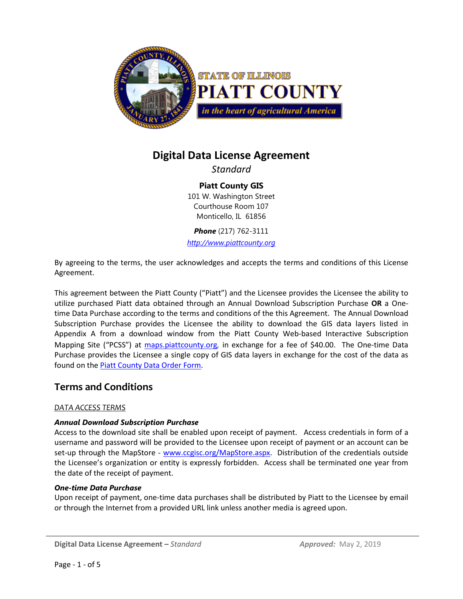

# **Digital Data License Agreement**

*Standard*

**Piatt County GIS** 101 W. Washington Street Courthouse Room 107 Monticello, IL 61856

*Phone* (217) 762-3111

*[http://www.piattcounty.org](http://www.piattcounty.org/)*

By agreeing to the terms, the user acknowledges and accepts the terms and conditions of this License Agreement.

This agreement between the Piatt County ("Piatt") and the Licensee provides the Licensee the ability to utilize purchased Piatt data obtained through an Annual Download Subscription Purchase **OR** a Onetime Data Purchase according to the terms and conditions of the this Agreement. The Annual Download Subscription Purchase provides the Licensee the ability to download the GIS data layers listed in Appendix A from a download window from the Piatt County Web-based Interactive Subscription Mapping Site ("PCSS") at [maps.piattcounty.org](http://maps.piattcounty.org/), in exchange for a fee of \$40.00. The One-time Data Purchase provides the Licensee a single copy of GIS data layers in exchange for the cost of the data as found on th[e Piatt County Data Order Form.](https://www.ccgisc.org/forms/PiattDataOrderForm.pdf)

# **Terms and Conditions**

# *DATA ACCESS TERMS*

# *Annual Download Subscription Purchase*

Access to the download site shall be enabled upon receipt of payment. Access credentials in form of a username and password will be provided to the Licensee upon receipt of payment or an account can be set-up through the MapStore - [www.ccgisc.org/MapStore.aspx.](http://www.ccgisc.org/MapStore.aspx) Distribution of the credentials outside the Licensee's organization or entity is expressly forbidden. Access shall be terminated one year from the date of the receipt of payment.

## *One-time Data Purchase*

Upon receipt of payment, one-time data purchases shall be distributed by Piatt to the Licensee by email or through the Internet from a provided URL link unless another media is agreed upon.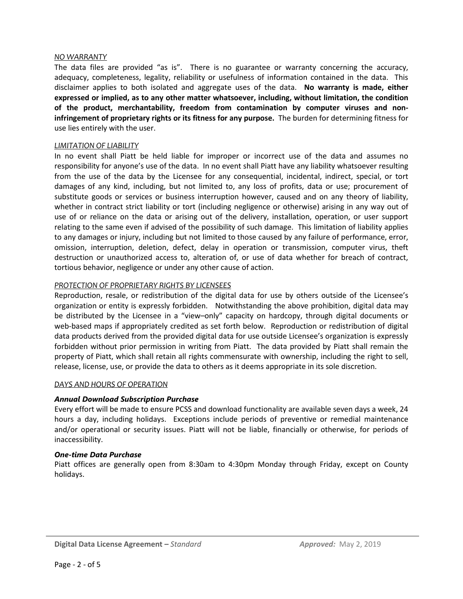## *NO WARRANTY*

The data files are provided "as is". There is no guarantee or warranty concerning the accuracy, adequacy, completeness, legality, reliability or usefulness of information contained in the data. This disclaimer applies to both isolated and aggregate uses of the data. **No warranty is made, either expressed or implied, as to any other matter whatsoever, including, without limitation, the condition of the product, merchantability, freedom from contamination by computer viruses and noninfringement of proprietary rights or its fitness for any purpose.** The burden for determining fitness for use lies entirely with the user.

#### *LIMITATION OF LIABILITY*

In no event shall Piatt be held liable for improper or incorrect use of the data and assumes no responsibility for anyone's use of the data. In no event shall Piatt have any liability whatsoever resulting from the use of the data by the Licensee for any consequential, incidental, indirect, special, or tort damages of any kind, including, but not limited to, any loss of profits, data or use; procurement of substitute goods or services or business interruption however, caused and on any theory of liability, whether in contract strict liability or tort (including negligence or otherwise) arising in any way out of use of or reliance on the data or arising out of the delivery, installation, operation, or user support relating to the same even if advised of the possibility of such damage. This limitation of liability applies to any damages or injury, including but not limited to those caused by any failure of performance, error, omission, interruption, deletion, defect, delay in operation or transmission, computer virus, theft destruction or unauthorized access to, alteration of, or use of data whether for breach of contract, tortious behavior, negligence or under any other cause of action.

## *PROTECTION OF PROPRIETARY RIGHTS BY LICENSEES*

Reproduction, resale, or redistribution of the digital data for use by others outside of the Licensee's organization or entity is expressly forbidden. Notwithstanding the above prohibition, digital data may be distributed by the Licensee in a "view–only" capacity on hardcopy, through digital documents or web-based maps if appropriately credited as set forth below. Reproduction or redistribution of digital data products derived from the provided digital data for use outside Licensee's organization is expressly forbidden without prior permission in writing from Piatt. The data provided by Piatt shall remain the property of Piatt, which shall retain all rights commensurate with ownership, including the right to sell, release, license, use, or provide the data to others as it deems appropriate in its sole discretion.

#### *DAYS AND HOURS OF OPERATION*

## *Annual Download Subscription Purchase*

Every effort will be made to ensure PCSS and download functionality are available seven days a week, 24 hours a day, including holidays. Exceptions include periods of preventive or remedial maintenance and/or operational or security issues. Piatt will not be liable, financially or otherwise, for periods of inaccessibility.

#### *One-time Data Purchase*

Piatt offices are generally open from 8:30am to 4:30pm Monday through Friday, except on County holidays.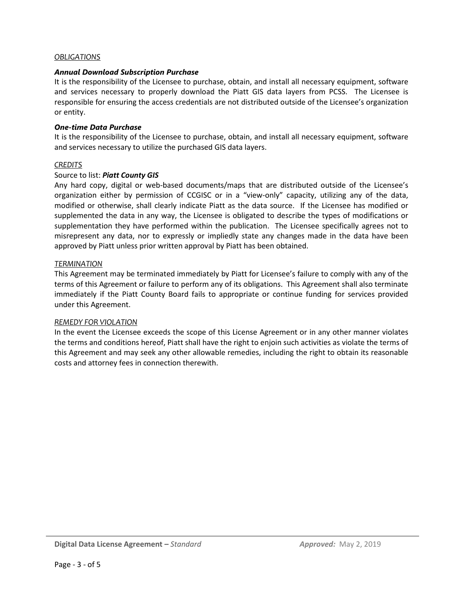## *OBLIGATIONS*

### *Annual Download Subscription Purchase*

It is the responsibility of the Licensee to purchase, obtain, and install all necessary equipment, software and services necessary to properly download the Piatt GIS data layers from PCSS. The Licensee is responsible for ensuring the access credentials are not distributed outside of the Licensee's organization or entity.

#### *One-time Data Purchase*

It is the responsibility of the Licensee to purchase, obtain, and install all necessary equipment, software and services necessary to utilize the purchased GIS data layers.

#### *CREDITS*

#### Source to list: *Piatt County GIS*

Any hard copy, digital or web-based documents/maps that are distributed outside of the Licensee's organization either by permission of CCGISC or in a "view-only" capacity, utilizing any of the data, modified or otherwise, shall clearly indicate Piatt as the data source. If the Licensee has modified or supplemented the data in any way, the Licensee is obligated to describe the types of modifications or supplementation they have performed within the publication. The Licensee specifically agrees not to misrepresent any data, nor to expressly or impliedly state any changes made in the data have been approved by Piatt unless prior written approval by Piatt has been obtained.

#### *TERMINATION*

This Agreement may be terminated immediately by Piatt for Licensee's failure to comply with any of the terms of this Agreement or failure to perform any of its obligations. This Agreement shall also terminate immediately if the Piatt County Board fails to appropriate or continue funding for services provided under this Agreement.

#### *REMEDY FOR VIOLATION*

In the event the Licensee exceeds the scope of this License Agreement or in any other manner violates the terms and conditions hereof, Piatt shall have the right to enjoin such activities as violate the terms of this Agreement and may seek any other allowable remedies, including the right to obtain its reasonable costs and attorney fees in connection therewith.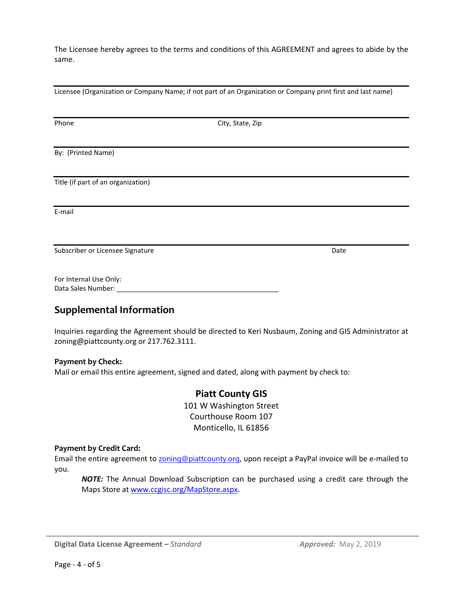The Licensee hereby agrees to the terms and conditions of this AGREEMENT and agrees to abide by the same.

Licensee (Organization or Company Name; if not part of an Organization or Company print first and last name)

| Phone                              | City, State, Zip |      |
|------------------------------------|------------------|------|
|                                    |                  |      |
| By: (Printed Name)                 |                  |      |
|                                    |                  |      |
| Title (if part of an organization) |                  |      |
|                                    |                  |      |
| E-mail                             |                  |      |
|                                    |                  |      |
| Subscriber or Licensee Signature   |                  | Date |
| For Internal Use Only:             |                  |      |
| Data Sales Number: _               |                  |      |
|                                    |                  |      |

# **Supplemental Information**

Inquiries regarding the Agreement should be directed to Keri Nusbaum, Zoning and GIS Administrator at zoning@piattcounty.org or 217.762.3111.

## **Payment by Check:**

Mail or email this entire agreement, signed and dated, along with payment by check to:

# **Piatt County GIS**

101 W Washington Street Courthouse Room 107 Monticello, IL 61856

## **Payment by Credit Card:**

Email the entire agreement to **[zoning@piattcounty.org](mailto:zoning@piattcounty.org)**, upon receipt a PayPal invoice will be e-mailed to you.

*NOTE:* The Annual Download Subscription can be purchased using a credit care through the Maps Store at [www.ccgisc.org/MapStore.aspx.](http://www.ccgisc.org/MapStore.aspx)

**Digital Data License Agreement –** *Standard Approved:* May 2, 2019